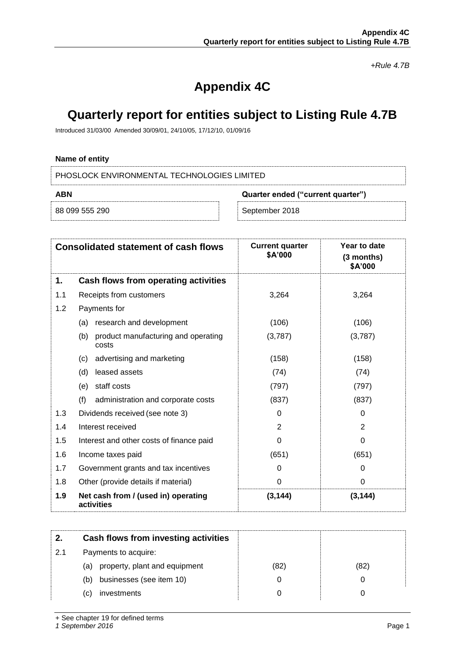*+Rule 4.7B*

# **Appendix 4C**

# **Quarterly report for entities subject to Listing Rule 4.7B**

Introduced 31/03/00 Amended 30/09/01, 24/10/05, 17/12/10, 01/09/16

### **Name of entity**

PHOSLOCK ENVIRONMENTAL TECHNOLOGIES LIMITED

| ABN            | Quarter ended ("current quarter") |                |  |
|----------------|-----------------------------------|----------------|--|
| 88 099 555 290 |                                   | September 2018 |  |

|     | <b>Consolidated statement of cash flows</b>         | <b>Current quarter</b><br>\$A'000 | Year to date<br>(3 months)<br>\$A'000 |
|-----|-----------------------------------------------------|-----------------------------------|---------------------------------------|
| 1.  | Cash flows from operating activities                |                                   |                                       |
| 1.1 | Receipts from customers                             | 3,264                             | 3,264                                 |
| 1.2 | Payments for                                        |                                   |                                       |
|     | research and development<br>(a)                     | (106)                             | (106)                                 |
|     | (b)<br>product manufacturing and operating<br>costs | (3,787)                           | (3,787)                               |
|     | advertising and marketing<br>(c)                    | (158)                             | (158)                                 |
|     | (d)<br>leased assets                                | (74)                              | (74)                                  |
|     | staff costs<br>(e)                                  | (797)                             | (797)                                 |
|     | (f)<br>administration and corporate costs           | (837)                             | (837)                                 |
| 1.3 | Dividends received (see note 3)                     | 0                                 | $\Omega$                              |
| 1.4 | Interest received                                   | $\overline{2}$                    | $\overline{2}$                        |
| 1.5 | Interest and other costs of finance paid            | 0                                 | 0                                     |
| 1.6 | Income taxes paid                                   | (651)                             | (651)                                 |
| 1.7 | Government grants and tax incentives                | 0                                 | 0                                     |
| 1.8 | Other (provide details if material)                 | 0                                 | $\Omega$                              |
| 1.9 | Net cash from / (used in) operating<br>activities   | (3, 144)                          | (3, 144)                              |

| 2.  | Cash flows from investing activities |      |      |
|-----|--------------------------------------|------|------|
| 2.1 | Payments to acquire:                 |      |      |
|     | property, plant and equipment<br>(a) | (82) | (82) |
|     | businesses (see item 10)<br>(b)      |      |      |
|     | investments<br>(C)                   |      |      |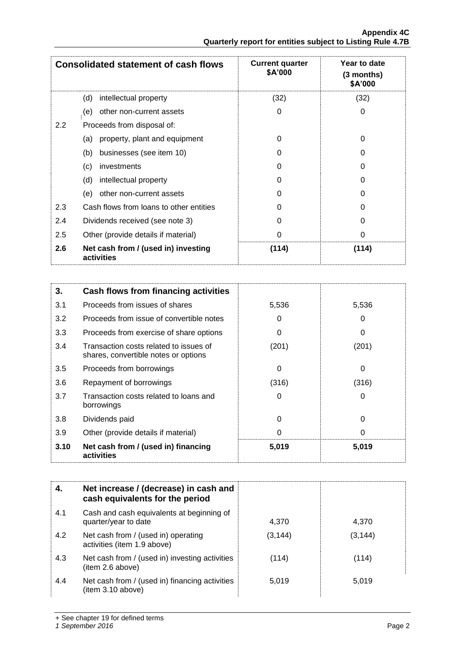|               | <b>Consolidated statement of cash flows</b>       | <b>Current quarter</b><br><b>\$A'000</b> | Year to date<br>(3 months)<br>\$A'000 |
|---------------|---------------------------------------------------|------------------------------------------|---------------------------------------|
|               | (d)<br>intellectual property                      | (32)                                     | (32)                                  |
|               | other non-current assets<br>(e)                   | 0                                        | 0                                     |
| $2.2^{\circ}$ | Proceeds from disposal of:                        |                                          |                                       |
|               | property, plant and equipment<br>(a)              | 0                                        | 0                                     |
|               | businesses (see item 10)<br>(b)                   | 0                                        | O                                     |
|               | (c)<br>investments                                | 0                                        | 0                                     |
|               | (d)<br>intellectual property                      | 0                                        | U                                     |
|               | other non-current assets<br>(e)                   | 0                                        | 0                                     |
| 2.3           | Cash flows from loans to other entities           | 0                                        | U                                     |
| 2.4           | Dividends received (see note 3)                   | 0                                        | 0                                     |
| 2.5           | Other (provide details if material)               | 0                                        | 0                                     |
| 2.6           | Net cash from / (used in) investing<br>activities | (114)                                    | (114)                                 |

| 3.   | <b>Cash flows from financing activities</b>                                    |       |          |
|------|--------------------------------------------------------------------------------|-------|----------|
| 3.1  | Proceeds from issues of shares                                                 | 5,536 | 5,536    |
| 3.2  | Proceeds from issue of convertible notes                                       | 0     | 0        |
| 3.3  | Proceeds from exercise of share options                                        | 0     | 0        |
| 3.4  | Transaction costs related to issues of<br>shares, convertible notes or options | (201) | (201)    |
| 3.5  | Proceeds from borrowings                                                       | 0     | 0        |
| 3.6  | Repayment of borrowings                                                        | (316) | (316)    |
| 3.7  | Transaction costs related to loans and<br>borrowings                           | 0     | 0        |
| 3.8  | Dividends paid                                                                 | 0     | $\Omega$ |
| 3.9  | Other (provide details if material)                                            | 0     | 0        |
| 3.10 | Net cash from / (used in) financing<br>activities                              | 5,019 | 5,019    |

|     | Net increase / (decrease) in cash and<br>cash equivalents for the period |          |          |
|-----|--------------------------------------------------------------------------|----------|----------|
| 4.1 | Cash and cash equivalents at beginning of<br>quarter/year to date        | 4,370    | 4,370    |
| 4.2 | Net cash from / (used in) operating<br>activities (item 1.9 above)       | (3, 144) | (3, 144) |
| 4.3 | Net cash from / (used in) investing activities<br>(item 2.6 above)       | (114)    | (114)    |
| 4.4 | Net cash from / (used in) financing activities<br>(item 3.10 above)      | 5,019    | 5,019    |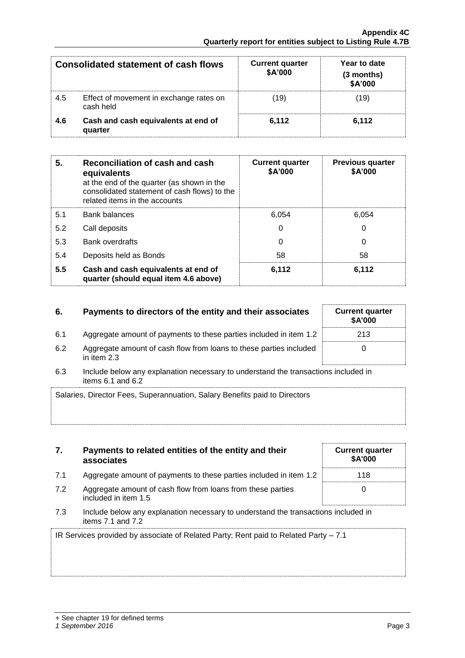|     | Consolidated statement of cash flows                 | <b>Current quarter</b><br>\$A'000 | Year to date<br>(3 months)<br>\$A'000 |
|-----|------------------------------------------------------|-----------------------------------|---------------------------------------|
| 4.5 | Effect of movement in exchange rates on<br>cash held | (19)                              | (19)                                  |
| 4.6 | Cash and cash equivalents at end of<br>quarter       | 6.112                             | 6.112                                 |

| 5.  | Reconciliation of cash and cash<br>equivalents<br>at the end of the quarter (as shown in the<br>consolidated statement of cash flows) to the<br>related items in the accounts | <b>Current quarter</b><br>\$A'000 | <b>Previous quarter</b><br>\$A'000 |
|-----|-------------------------------------------------------------------------------------------------------------------------------------------------------------------------------|-----------------------------------|------------------------------------|
| 5.1 | <b>Bank balances</b>                                                                                                                                                          | 6.054                             | 6.054                              |
| 5.2 | Call deposits                                                                                                                                                                 | 0                                 | 0                                  |
| 5.3 | <b>Bank overdrafts</b>                                                                                                                                                        | 0                                 | 0                                  |
| 5.4 | Deposits held as Bonds                                                                                                                                                        | 58                                | 58                                 |
| 5.5 | Cash and cash equivalents at end of<br>quarter (should equal item 4.6 above)                                                                                                  | 6,112                             | 6,112                              |

## **6.** Payments to directors of the entity and their associates Current quarter

- 6.1 Aggregate amount of payments to these parties included in item 1.2 213
- 6.2 Aggregate amount of cash flow from loans to these parties included in item 2.3
- 6.3 Include below any explanation necessary to understand the transactions included in items 6.1 and 6.2

| Salaries, Director Fees, Superannuation, Salary Benefits paid to Directors |
|----------------------------------------------------------------------------|
|                                                                            |
|                                                                            |

|     | Payments to related entities of the entity and their<br>associates |
|-----|--------------------------------------------------------------------|
| 7.1 | Aggregate amount of payments to these parties included in item 1.2 |

- 7.2 Aggregate amount of cash flow from loans from these parties included in item 1.5
- 7.3 Include below any explanation necessary to understand the transactions included in items 7.1 and 7.2

IR Services provided by associate of Related Party; Rent paid to Related Party – 7.1

| s included in |  |
|---------------|--|
|               |  |
|               |  |
|               |  |
|               |  |

**\$A'000**

0

| <b>Current quarter</b><br>\$A'000 |
|-----------------------------------|
| 118                               |
| n                                 |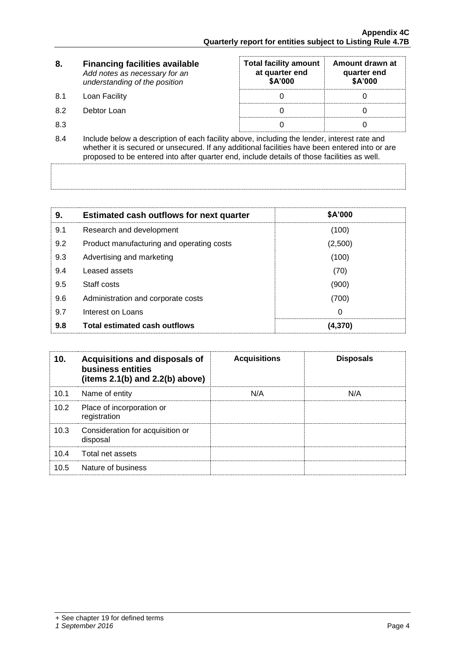| 8.  | <b>Financing facilities available</b><br>Add notes as necessary for an<br>understanding of the position                                                                                                                                                                                      | <b>Total facility amount</b><br>at quarter end<br>\$A'000 | Amount drawn at<br>quarter end<br>\$A'000 |  |
|-----|----------------------------------------------------------------------------------------------------------------------------------------------------------------------------------------------------------------------------------------------------------------------------------------------|-----------------------------------------------------------|-------------------------------------------|--|
| 8.1 | Loan Facility                                                                                                                                                                                                                                                                                |                                                           |                                           |  |
| 8.2 | Debtor Loan                                                                                                                                                                                                                                                                                  |                                                           |                                           |  |
| 8.3 |                                                                                                                                                                                                                                                                                              |                                                           |                                           |  |
| 8.4 | Include below a description of each facility above, including the lender, interest rate and<br>whether it is secured or unsecured. If any additional facilities have been entered into or are<br>proposed to be entered into after quarter end, include details of those facilities as well. |                                                           |                                           |  |

| 9.  | <b>Estimated cash outflows for next quarter</b> | <b>\$A'000</b> |
|-----|-------------------------------------------------|----------------|
| 9.1 | Research and development                        | (100)          |
| 9.2 | Product manufacturing and operating costs       | (2,500)        |
| 9.3 | Advertising and marketing                       | (100)          |
| 9.4 | Leased assets                                   | (70)           |
| 9.5 | Staff costs                                     | (900)          |
| 9.6 | Administration and corporate costs              | (700)          |
| 9.7 | Interest on Loans                               | 0              |
| 9.8 | <b>Total estimated cash outflows</b>            | (4,370)        |

| 10.  | Acquisitions and disposals of<br>business entities<br>(items $2.1(b)$ and $2.2(b)$ above) | <b>Acquisitions</b> | <b>Disposals</b> |
|------|-------------------------------------------------------------------------------------------|---------------------|------------------|
| 10.1 | Name of entity                                                                            | N/A                 | N/A              |
| 10.2 | Place of incorporation or<br>registration                                                 |                     |                  |
| 10.3 | Consideration for acquisition or<br>disposal                                              |                     |                  |
| 10.4 | Total net assets                                                                          |                     |                  |
| 10.5 | Nature of business                                                                        |                     |                  |